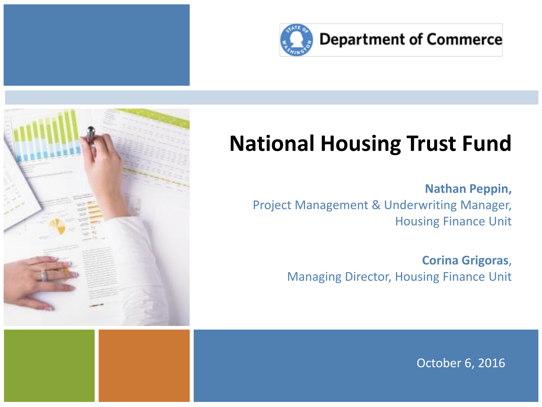



#### **National Housing Trust Fund**

**Nathan Peppin,**  Project Management & Underwriting Manager, Housing Finance Unit

> **Corina Grigoras**, Managing Director, Housing Finance Unit

> > October 6, 2016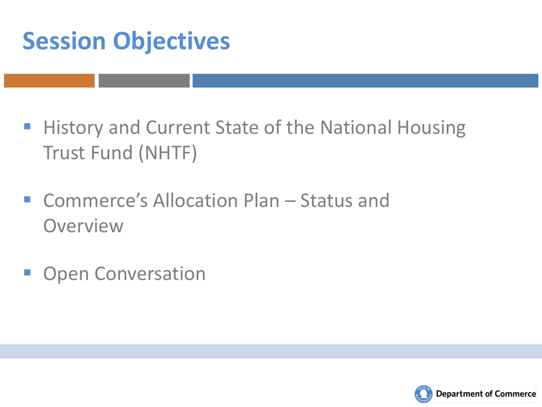## **Session Objectives**

- **History and Current State of the National Housing** Trust Fund (NHTF)
- Commerce's Allocation Plan Status and **Overview**
- **Open Conversation**

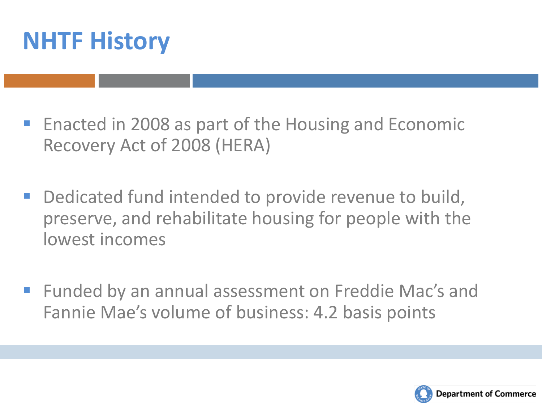

- **Enacted in 2008 as part of the Housing and Economic** Recovery Act of 2008 (HERA)
- **-** Dedicated fund intended to provide revenue to build, preserve, and rehabilitate housing for people with the lowest incomes
- **Funded by an annual assessment on Freddie Mac's and** Fannie Mae's volume of business: 4.2 basis points

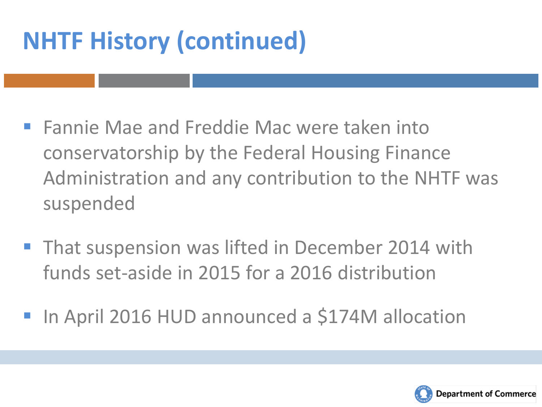## **NHTF History (continued)**

- **Fannie Mae and Freddie Mac were taken into** conservatorship by the Federal Housing Finance Administration and any contribution to the NHTF was suspended
- **That suspension was lifted in December 2014 with** funds set-aside in 2015 for a 2016 distribution
- In April 2016 HUD announced a \$174M allocation

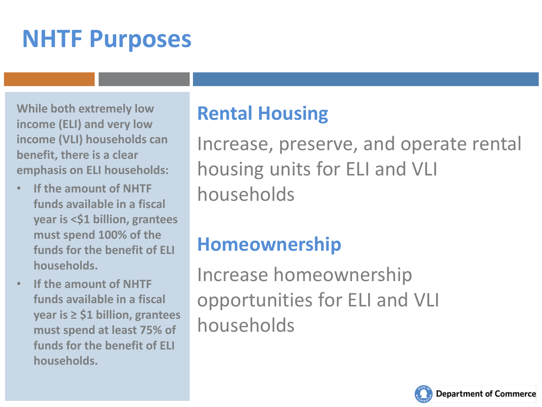### **NHTF Purposes**

**While both extremely low income (ELI) and very low income (VLI) households can benefit, there is a clear emphasis on ELI households:** 

- **If the amount of NHTF funds available in a fiscal year is <\$1 billion, grantees must spend 100% of the funds for the benefit of ELI households.**
- **If the amount of NHTF funds available in a fiscal year is ≥ \$1 billion, grantees must spend at least 75% of funds for the benefit of ELI households.**

#### **Rental Housing**

Increase, preserve, and operate rental housing units for ELI and VLI households

#### **Homeownership**

Increase homeownership opportunities for ELI and VLI households

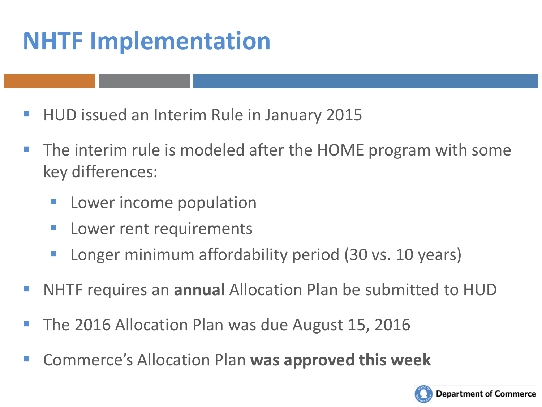### **NHTF Implementation**

- **HUD issued an Interim Rule in January 2015**
- The interim rule is modeled after the HOME program with some key differences:
	- Lower income population
	- Lower rent requirements
	- Longer minimum affordability period (30 vs. 10 years)
- NHTF requires an **annual** Allocation Plan be submitted to HUD
- The 2016 Allocation Plan was due August 15, 2016
- Commerce's Allocation Plan **was approved this week**

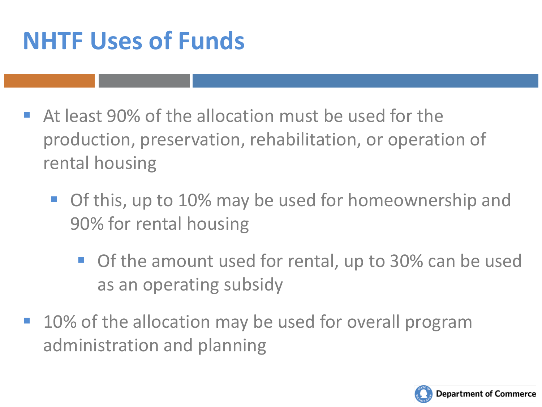### **NHTF Uses of Funds**

- At least 90% of the allocation must be used for the production, preservation, rehabilitation, or operation of rental housing
	- **Of this, up to 10% may be used for homeownership and** 90% for rental housing
		- **Of the amount used for rental, up to 30% can be used** as an operating subsidy
- 10% of the allocation may be used for overall program administration and planning

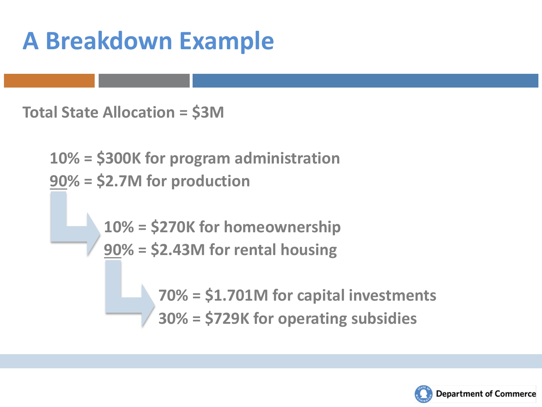### **A Breakdown Example**

**Total State Allocation = \$3M**

**10% = \$300K for program administration 90% = \$2.7M for production**

> **10% = \$270K for homeownership 90% = \$2.43M for rental housing**

> > **70% = \$1.701M for capital investments 30% = \$729K for operating subsidies**

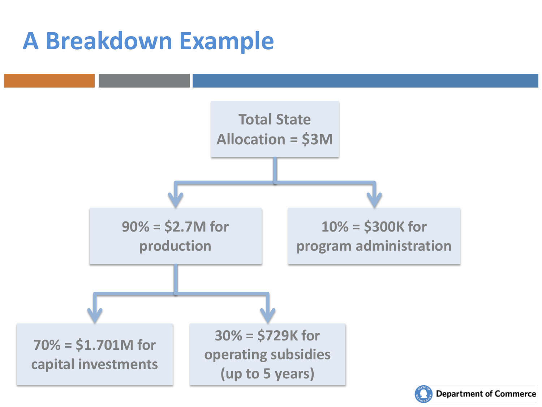### **A Breakdown Example**



**Department of Commerce**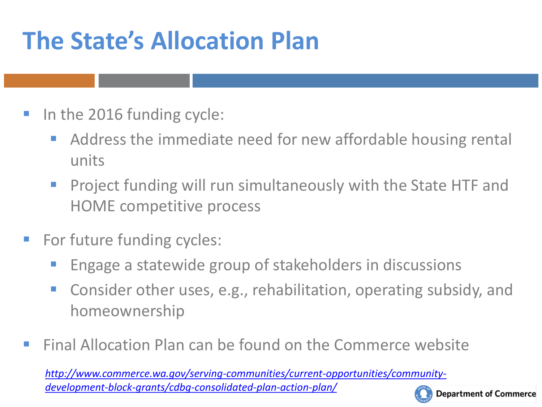## **The State's Allocation Plan**

- In the 2016 funding cycle:
	- Address the immediate need for new affordable housing rental units
	- Project funding will run simultaneously with the State HTF and HOME competitive process
- **For future funding cycles:** 
	- Engage a statewide group of stakeholders in discussions
	- Consider other uses, e.g., rehabilitation, operating subsidy, and homeownership
- **Final Allocation Plan can be found on the Commerce website**

*[http://www.commerce.wa.gov/serving-communities/current-opportunities/community](http://www.commerce.wa.gov/serving-communities/current-opportunities/community-development-block-grants/cdbg-consolidated-plan-action-plan/)[development-block-grants/cdbg-consolidated-plan-action-plan/](http://www.commerce.wa.gov/serving-communities/current-opportunities/community-development-block-grants/cdbg-consolidated-plan-action-plan/)* 

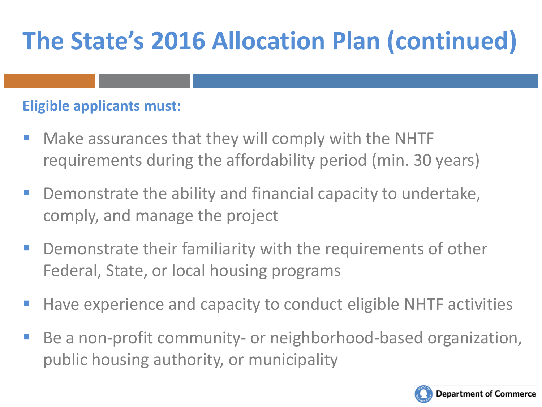#### **Eligible applicants must:**

- **Make assurances that they will comply with the NHTF** requirements during the affordability period (min. 30 years)
- **Demonstrate the ability and financial capacity to undertake,** comply, and manage the project
- **Paramele 1** Demonstrate their familiarity with the requirements of other Federal, State, or local housing programs
- **Have experience and capacity to conduct eligible NHTF activities**
- Be a non-profit community- or neighborhood-based organization, public housing authority, or municipality

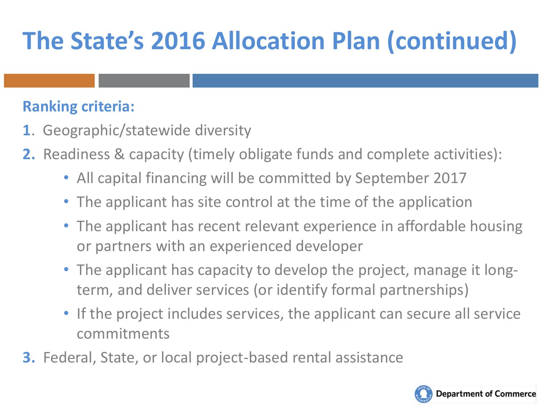#### **Ranking criteria:**

- **1**. Geographic/statewide diversity
- **2.** Readiness & capacity (timely obligate funds and complete activities):
	- All capital financing will be committed by September 2017
	- The applicant has site control at the time of the application
	- The applicant has recent relevant experience in affordable housing or partners with an experienced developer
	- The applicant has capacity to develop the project, manage it longterm, and deliver services (or identify formal partnerships)
	- If the project includes services, the applicant can secure all service commitments
- **3.** Federal, State, or local project-based rental assistance

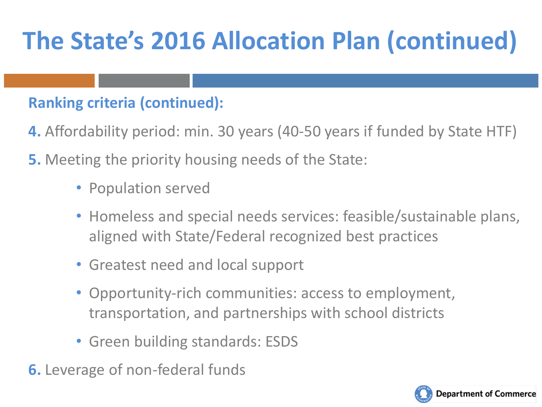#### **Ranking criteria (continued):**

- **4.** Affordability period: min. 30 years (40-50 years if funded by State HTF)
- **5.** Meeting the priority housing needs of the State:
	- Population served
	- Homeless and special needs services: feasible/sustainable plans, aligned with State/Federal recognized best practices
	- Greatest need and local support
	- Opportunity-rich communities: access to employment, transportation, and partnerships with school districts
	- Green building standards: ESDS
- **6.** Leverage of non-federal funds

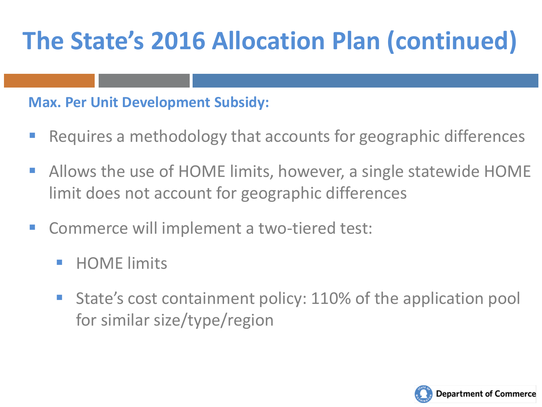#### **Max. Per Unit Development Subsidy:**

- Requires a methodology that accounts for geographic differences
- Allows the use of HOME limits, however, a single statewide HOME limit does not account for geographic differences
- Commerce will implement a two-tiered test:
	- HOME limits
	- **State's cost containment policy: 110% of the application pool** for similar size/type/region

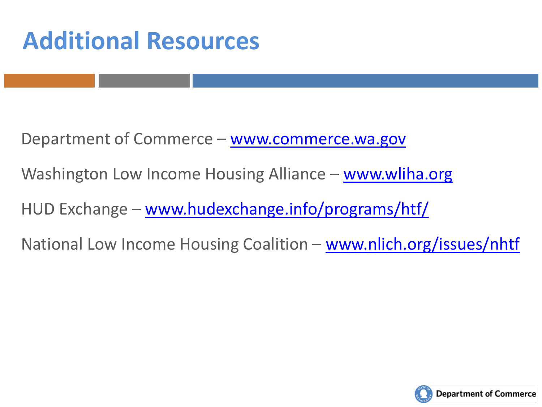### **Additional Resources**

Department of Commerce – [www.commerce.wa.gov](http://www.commerce.wa.gov/)

Washington Low Income Housing Alliance – [www.wliha.org](http://www.wliha.org/)

HUD Exchange – [www.hudexchange.info/programs/htf/](http://www.hudexchange.info/programs/htf/)

National Low Income Housing Coalition – [www.nlich.org/issues/nhtf](http://www.nlich.org/issues/nhtf)